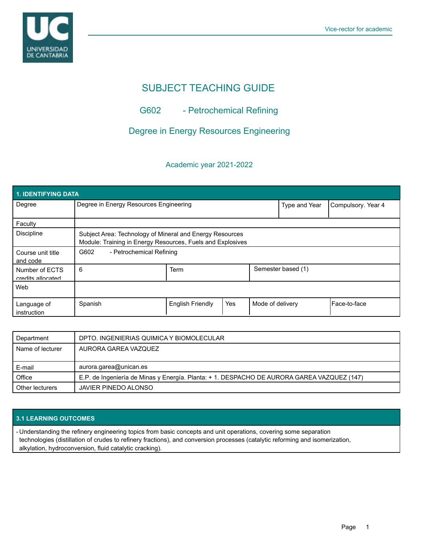

# SUBJECT TEACHING GUIDE

## G602 - Petrochemical Refining

## Degree in Energy Resources Engineering

## Academic year 2021-2022

| <b>1. IDENTIFYING DATA</b>          |                                                                                                                        |                  |     |                  |                    |              |  |  |  |
|-------------------------------------|------------------------------------------------------------------------------------------------------------------------|------------------|-----|------------------|--------------------|--------------|--|--|--|
| Degree                              | Degree in Energy Resources Engineering                                                                                 |                  |     | Type and Year    | Compulsory. Year 4 |              |  |  |  |
| Faculty                             |                                                                                                                        |                  |     |                  |                    |              |  |  |  |
| <b>Discipline</b>                   | Subject Area: Technology of Mineral and Energy Resources<br>Module: Training in Energy Resources, Fuels and Explosives |                  |     |                  |                    |              |  |  |  |
| Course unit title<br>and code       | G602<br>- Petrochemical Refining                                                                                       |                  |     |                  |                    |              |  |  |  |
| Number of ECTS<br>credits allocated | 6                                                                                                                      | Term             |     |                  | Semester based (1) |              |  |  |  |
| Web                                 |                                                                                                                        |                  |     |                  |                    |              |  |  |  |
| Language of<br>instruction          | Spanish                                                                                                                | English Friendly | Yes | Mode of delivery |                    | Face-to-face |  |  |  |

| Department       | DPTO. INGENIERIAS QUIMICA Y BIOMOLECULAR                                                   |
|------------------|--------------------------------------------------------------------------------------------|
| Name of lecturer | AURORA GAREA VAZQUEZ                                                                       |
|                  |                                                                                            |
|                  |                                                                                            |
| E-mail           | aurora.garea@unican.es                                                                     |
| Office           | E.P. de Ingeniería de Minas y Energía. Planta: + 1. DESPACHO DE AURORA GAREA VAZQUEZ (147) |

## **3.1 LEARNING OUTCOMES**

- Understanding the refinery engineering topics from basic concepts and unit operations, covering some separation technologies (distillation of crudes to refinery fractions), and conversion processes (catalytic reforming and isomerization, alkylation, hydroconversion, fluid catalytic cracking).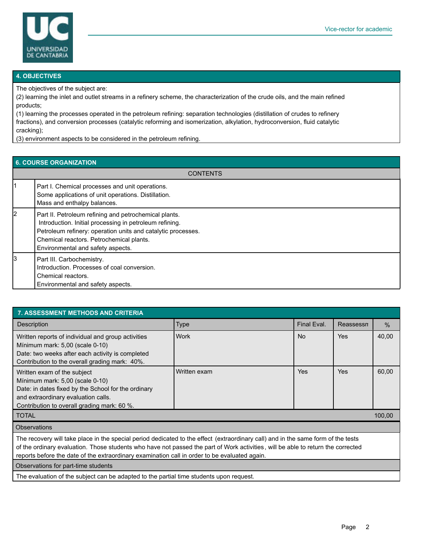

#### **4. OBJECTIVES**

The objectives of the subject are:

(2) learning the inlet and outlet streams in a refinery scheme, the characterization of the crude oils, and the main refined products;

(1) learning the processes operated in the petroleum refining: separation technologies (distillation of crudes to refinery fractions), and conversion processes (catalytic reforming and isomerization, alkylation, hydroconversion, fluid catalytic cracking);

(3) environment aspects to be considered in the petroleum refining.

| 6. COURSE ORGANIZATION |                                                                                                                                                                                                                                                                   |  |  |  |
|------------------------|-------------------------------------------------------------------------------------------------------------------------------------------------------------------------------------------------------------------------------------------------------------------|--|--|--|
| <b>CONTENTS</b>        |                                                                                                                                                                                                                                                                   |  |  |  |
|                        | Part I. Chemical processes and unit operations.<br>Some applications of unit operations. Distillation.<br>Mass and enthalpy balances.                                                                                                                             |  |  |  |
| 2                      | Part II. Petroleum refining and petrochemical plants.<br>Introduction. Initial processing in petroleum refining.<br>Petroleum refinery: operation units and catalytic processes.<br>Chemical reactors. Petrochemical plants.<br>Environmental and safety aspects. |  |  |  |
| l3                     | Part III. Carbochemistry.<br>Introduction. Processes of coal conversion.<br>Chemical reactors.<br>Environmental and safety aspects.                                                                                                                               |  |  |  |

| <b>7. ASSESSMENT METHODS AND CRITERIA</b>                                                                                                                                                                   |              |                |            |       |  |  |  |  |
|-------------------------------------------------------------------------------------------------------------------------------------------------------------------------------------------------------------|--------------|----------------|------------|-------|--|--|--|--|
| <b>Description</b>                                                                                                                                                                                          | <b>Type</b>  | Final Eval.    | Reassessn  | $\%$  |  |  |  |  |
| Written reports of individual and group activities<br>Mínimum mark: 5,00 (scale 0-10)<br>Date: two weeks after each activity is completed<br>Contribution to the overall grading mark: 40%.                 | Work         | N <sub>o</sub> | Yes        | 40,00 |  |  |  |  |
| Written exam of the subject<br>Mínimum mark: 5,00 (scale 0-10)<br>Date: in dates fixed by the School for the ordinary<br>and extraordinary evaluation calls.<br>Contribution to overall grading mark: 60 %. | Written exam | Yes            | <b>Yes</b> | 60,00 |  |  |  |  |
| <b>TOTAL</b><br>100,00                                                                                                                                                                                      |              |                |            |       |  |  |  |  |
| Ohnoruotiono                                                                                                                                                                                                |              |                |            |       |  |  |  |  |

Observations

The recovery will take place in the special period dedicated to the effect (extraordinary call) and in the same form of the tests of the ordinary evaluation. Those students who have not passed the part of Work activities , will be able to return the corrected reports before the date of the extraordinary examination call in order to be evaluated again.

Observations for part-time students

The evaluation of the subject can be adapted to the partial time students upon request.